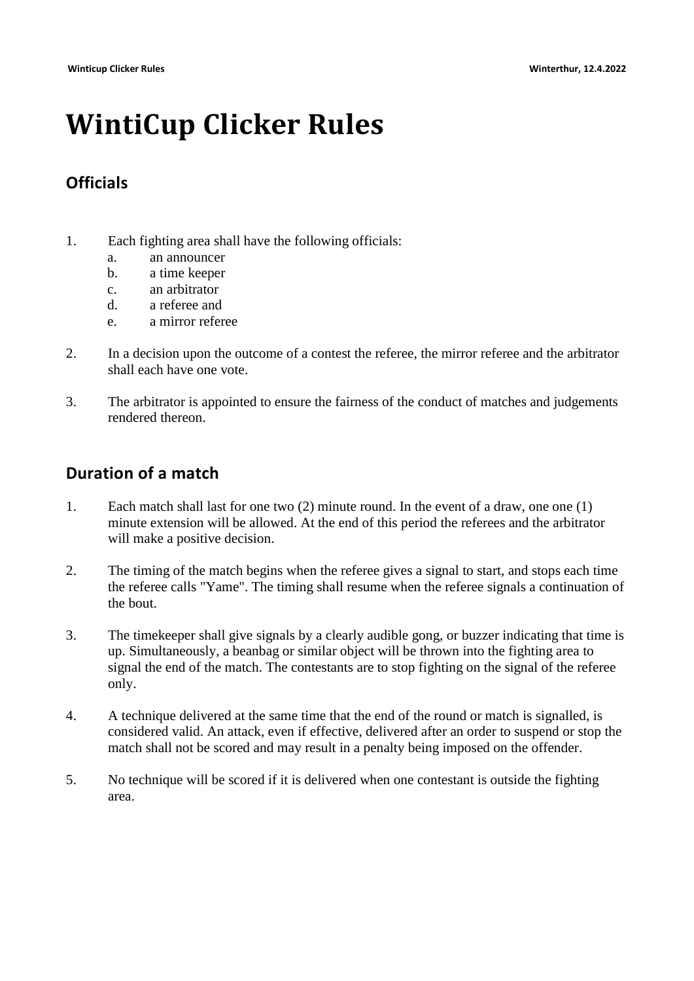# **WintiCup Clicker Rules**

## **Officials**

- 1. Each fighting area shall have the following officials:
	- a. an announcer
	- b. a time keeper
	- c. an arbitrator
	- d. a referee and
	- e. a mirror referee
- 2. In a decision upon the outcome of a contest the referee, the mirror referee and the arbitrator shall each have one vote.
- 3. The arbitrator is appointed to ensure the fairness of the conduct of matches and judgements rendered thereon.

## **Duration of a match**

- 1. Each match shall last for one two (2) minute round. In the event of a draw, one one (1) minute extension will be allowed. At the end of this period the referees and the arbitrator will make a positive decision.
- 2. The timing of the match begins when the referee gives a signal to start, and stops each time the referee calls "Yame". The timing shall resume when the referee signals a continuation of the bout.
- 3. The timekeeper shall give signals by a clearly audible gong, or buzzer indicating that time is up. Simultaneously, a beanbag or similar object will be thrown into the fighting area to signal the end of the match. The contestants are to stop fighting on the signal of the referee only.
- 4. A technique delivered at the same time that the end of the round or match is signalled, is considered valid. An attack, even if effective, delivered after an order to suspend or stop the match shall not be scored and may result in a penalty being imposed on the offender.
- 5. No technique will be scored if it is delivered when one contestant is outside the fighting area.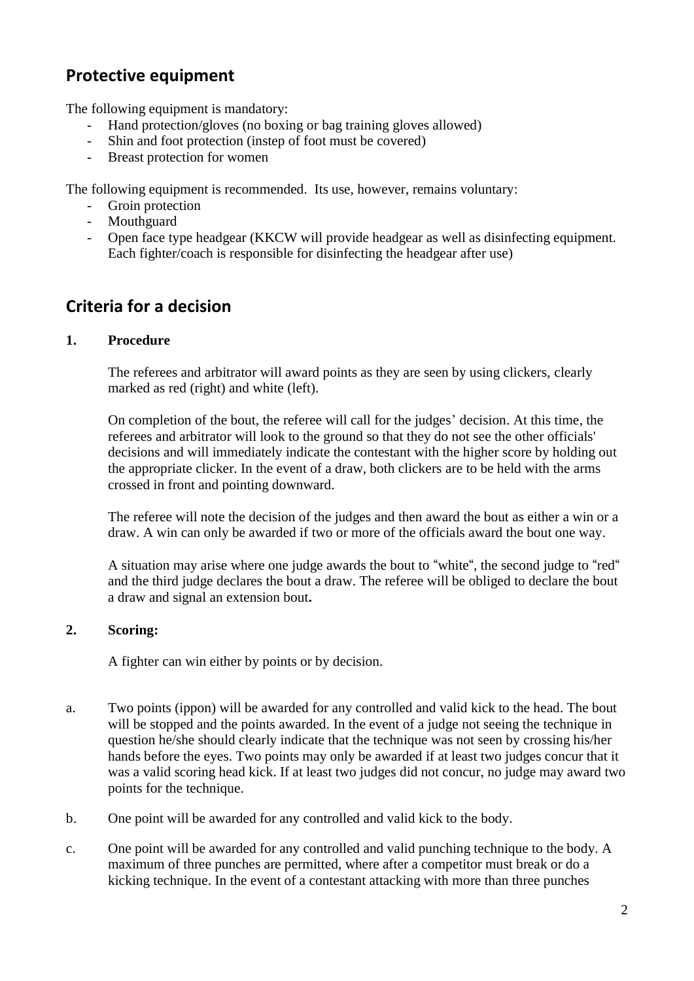# **Protective equipment**

The following equipment is mandatory:

- Hand protection/gloves (no boxing or bag training gloves allowed)
- Shin and foot protection (instep of foot must be covered)
- Breast protection for women

The following equipment is recommended. Its use, however, remains voluntary:

- Groin protection
- Mouthguard
- Open face type headgear (KKCW will provide headgear as well as disinfecting equipment. Each fighter/coach is responsible for disinfecting the headgear after use)

# **Criteria for a decision**

## **1. Procedure**

The referees and arbitrator will award points as they are seen by using clickers, clearly marked as red (right) and white (left).

On completion of the bout, the referee will call for the judges' decision. At this time, the referees and arbitrator will look to the ground so that they do not see the other officials' decisions and will immediately indicate the contestant with the higher score by holding out the appropriate clicker. In the event of a draw, both clickers are to be held with the arms crossed in front and pointing downward.

The referee will note the decision of the judges and then award the bout as either a win or a draw. A win can only be awarded if two or more of the officials award the bout one way.

A situation may arise where one judge awards the bout to "white", the second judge to "red" and the third judge declares the bout a draw. The referee will be obliged to declare the bout a draw and signal an extension bout**.**

## **2. Scoring:**

A fighter can win either by points or by decision.

- a. Two points (ippon) will be awarded for any controlled and valid kick to the head. The bout will be stopped and the points awarded. In the event of a judge not seeing the technique in question he/she should clearly indicate that the technique was not seen by crossing his/her hands before the eyes. Two points may only be awarded if at least two judges concur that it was a valid scoring head kick. If at least two judges did not concur, no judge may award two points for the technique.
- b. One point will be awarded for any controlled and valid kick to the body.
- c. One point will be awarded for any controlled and valid punching technique to the body. A maximum of three punches are permitted, where after a competitor must break or do a kicking technique. In the event of a contestant attacking with more than three punches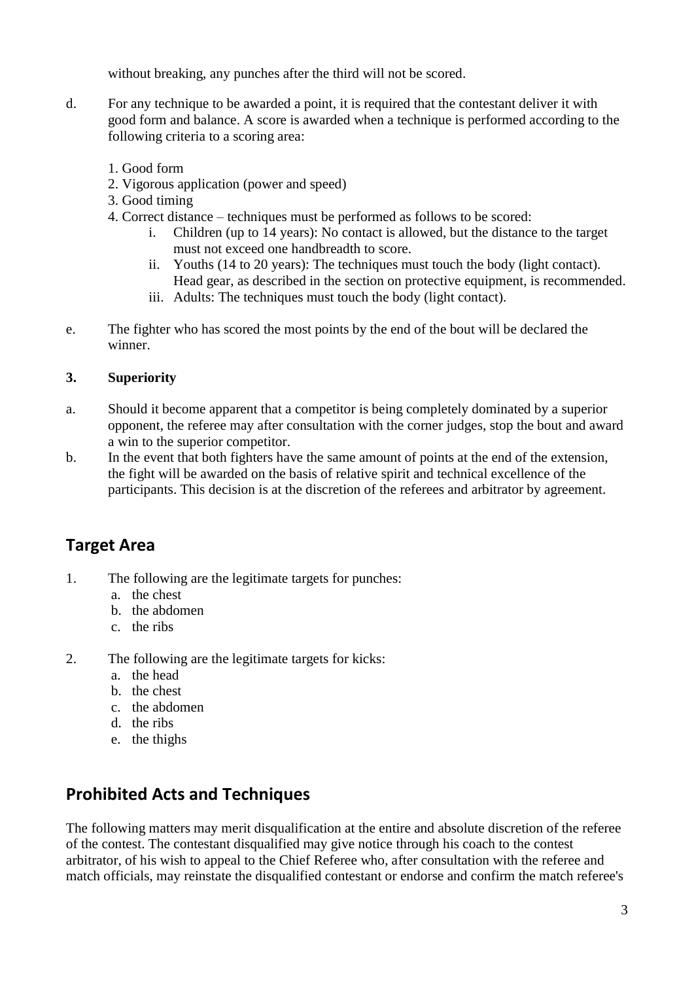without breaking, any punches after the third will not be scored.

- d. For any technique to be awarded a point, it is required that the contestant deliver it with good form and balance. A score is awarded when a technique is performed according to the following criteria to a scoring area:
	- 1. Good form
	- 2. Vigorous application (power and speed)
	- 3. Good timing
	- 4. Correct distance techniques must be performed as follows to be scored:
		- i. Children (up to 14 years): No contact is allowed, but the distance to the target must not exceed one handbreadth to score.
		- ii. Youths (14 to 20 years): The techniques must touch the body (light contact). Head gear, as described in the section on protective equipment, is recommended.
		- iii. Adults: The techniques must touch the body (light contact).
- e. The fighter who has scored the most points by the end of the bout will be declared the winner.

## **3. Superiority**

- a. Should it become apparent that a competitor is being completely dominated by a superior opponent, the referee may after consultation with the corner judges, stop the bout and award a win to the superior competitor.
- b. In the event that both fighters have the same amount of points at the end of the extension, the fight will be awarded on the basis of relative spirit and technical excellence of the participants. This decision is at the discretion of the referees and arbitrator by agreement.

# **Target Area**

- 1. The following are the legitimate targets for punches:
	- a. the chest
	- b. the abdomen
	- c. the ribs
- 2. The following are the legitimate targets for kicks:
	- a. the head
	- b. the chest
	- c. the abdomen
	- d. the ribs
	- e. the thighs

# **Prohibited Acts and Techniques**

The following matters may merit disqualification at the entire and absolute discretion of the referee of the contest. The contestant disqualified may give notice through his coach to the contest arbitrator, of his wish to appeal to the Chief Referee who, after consultation with the referee and match officials, may reinstate the disqualified contestant or endorse and confirm the match referee's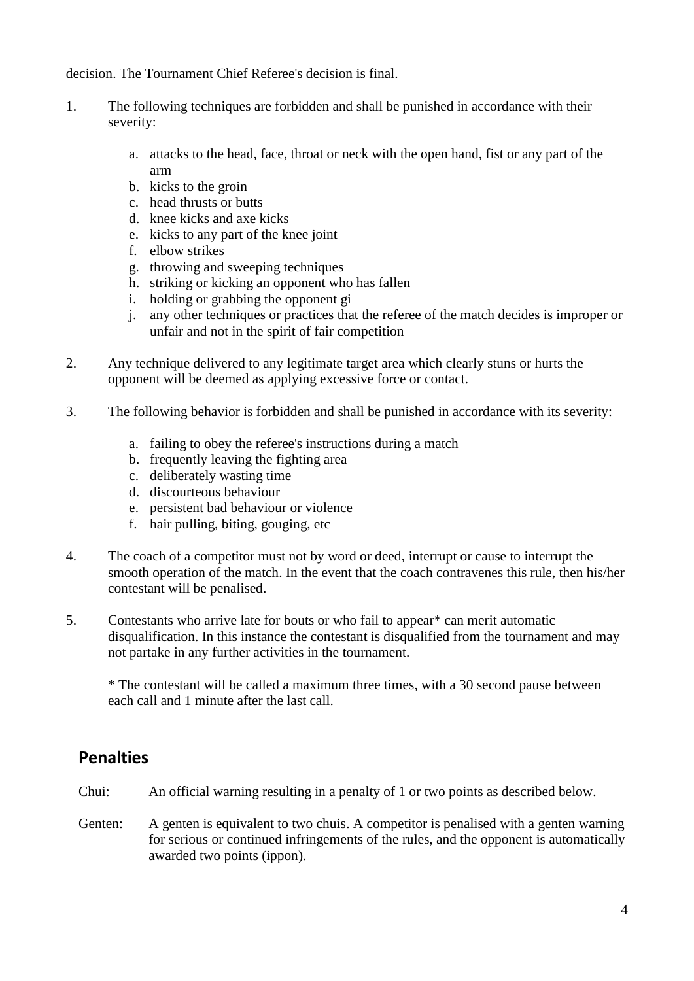decision. The Tournament Chief Referee's decision is final.

- 1. The following techniques are forbidden and shall be punished in accordance with their severity:
	- a. attacks to the head, face, throat or neck with the open hand, fist or any part of the arm
	- b. kicks to the groin
	- c. head thrusts or butts
	- d. knee kicks and axe kicks
	- e. kicks to any part of the knee joint
	- f. elbow strikes
	- g. throwing and sweeping techniques
	- h. striking or kicking an opponent who has fallen
	- i. holding or grabbing the opponent gi
	- j. any other techniques or practices that the referee of the match decides is improper or unfair and not in the spirit of fair competition
- 2. Any technique delivered to any legitimate target area which clearly stuns or hurts the opponent will be deemed as applying excessive force or contact.
- 3. The following behavior is forbidden and shall be punished in accordance with its severity:
	- a. failing to obey the referee's instructions during a match
	- b. frequently leaving the fighting area
	- c. deliberately wasting time
	- d. discourteous behaviour
	- e. persistent bad behaviour or violence
	- f. hair pulling, biting, gouging, etc
- 4. The coach of a competitor must not by word or deed, interrupt or cause to interrupt the smooth operation of the match. In the event that the coach contravenes this rule, then his/her contestant will be penalised.
- 5. Contestants who arrive late for bouts or who fail to appear\* can merit automatic disqualification. In this instance the contestant is disqualified from the tournament and may not partake in any further activities in the tournament.

\* The contestant will be called a maximum three times, with a 30 second pause between each call and 1 minute after the last call.

# **Penalties**

- Chui: An official warning resulting in a penalty of 1 or two points as described below.
- Genten: A genten is equivalent to two chuis. A competitor is penalised with a genten warning for serious or continued infringements of the rules, and the opponent is automatically awarded two points (ippon).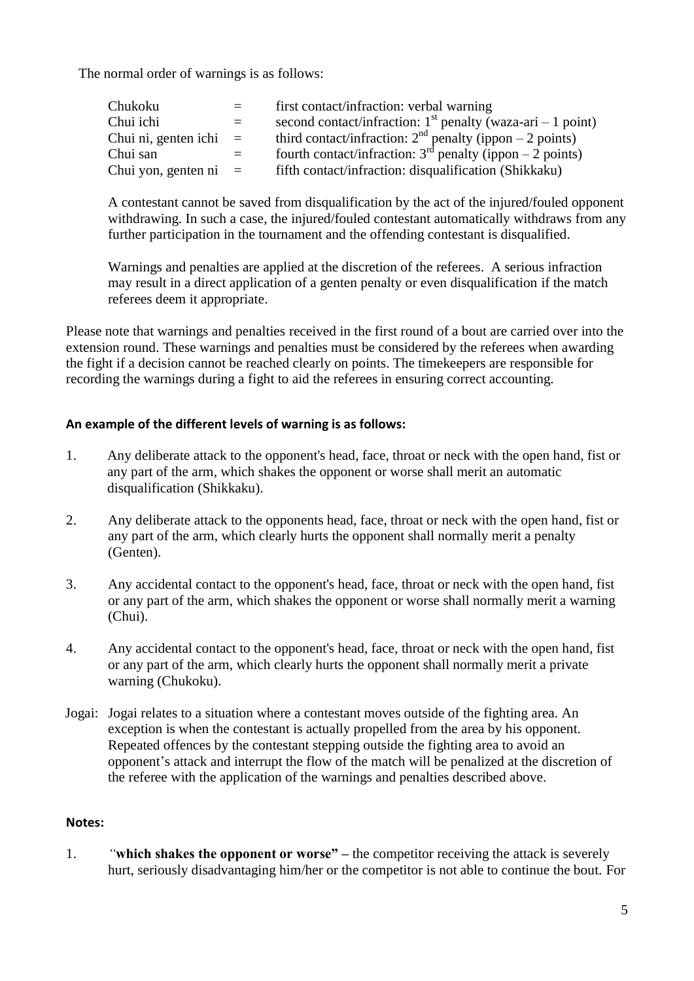The normal order of warnings is as follows:

| Chukoku                  | $=$ | first contact/infraction: verbal warning                      |
|--------------------------|-----|---------------------------------------------------------------|
| Chui ichi                |     | second contact/infraction: $1st$ penalty (waza-ari – 1 point) |
| Chui ni, genten ichi $=$ |     | third contact/infraction: $2nd$ penalty (ippon – 2 points)    |
| Chui san                 |     | fourth contact/infraction: $3rd$ penalty (ippon – 2 points)   |
| Chui yon, genten ni $=$  |     | fifth contact/infraction: disqualification (Shikkaku)         |

A contestant cannot be saved from disqualification by the act of the injured/fouled opponent withdrawing. In such a case, the injured/fouled contestant automatically withdraws from any further participation in the tournament and the offending contestant is disqualified.

Warnings and penalties are applied at the discretion of the referees. A serious infraction may result in a direct application of a genten penalty or even disqualification if the match referees deem it appropriate.

Please note that warnings and penalties received in the first round of a bout are carried over into the extension round. These warnings and penalties must be considered by the referees when awarding the fight if a decision cannot be reached clearly on points. The timekeepers are responsible for recording the warnings during a fight to aid the referees in ensuring correct accounting.

## **An example of the different levels of warning is as follows:**

- 1. Any deliberate attack to the opponent's head, face, throat or neck with the open hand, fist or any part of the arm, which shakes the opponent or worse shall merit an automatic disqualification (Shikkaku).
- 2. Any deliberate attack to the opponents head, face, throat or neck with the open hand, fist or any part of the arm, which clearly hurts the opponent shall normally merit a penalty (Genten).
- 3. Any accidental contact to the opponent's head, face, throat or neck with the open hand, fist or any part of the arm, which shakes the opponent or worse shall normally merit a warning (Chui).
- 4. Any accidental contact to the opponent's head, face, throat or neck with the open hand, fist or any part of the arm, which clearly hurts the opponent shall normally merit a private warning (Chukoku).
- Jogai: Jogai relates to a situation where a contestant moves outside of the fighting area. An exception is when the contestant is actually propelled from the area by his opponent. Repeated offences by the contestant stepping outside the fighting area to avoid an opponent's attack and interrupt the flow of the match will be penalized at the discretion of the referee with the application of the warnings and penalties described above.

## **Notes:**

1. *"***which shakes the opponent or worse" –** the competitor receiving the attack is severely hurt, seriously disadvantaging him/her or the competitor is not able to continue the bout. For